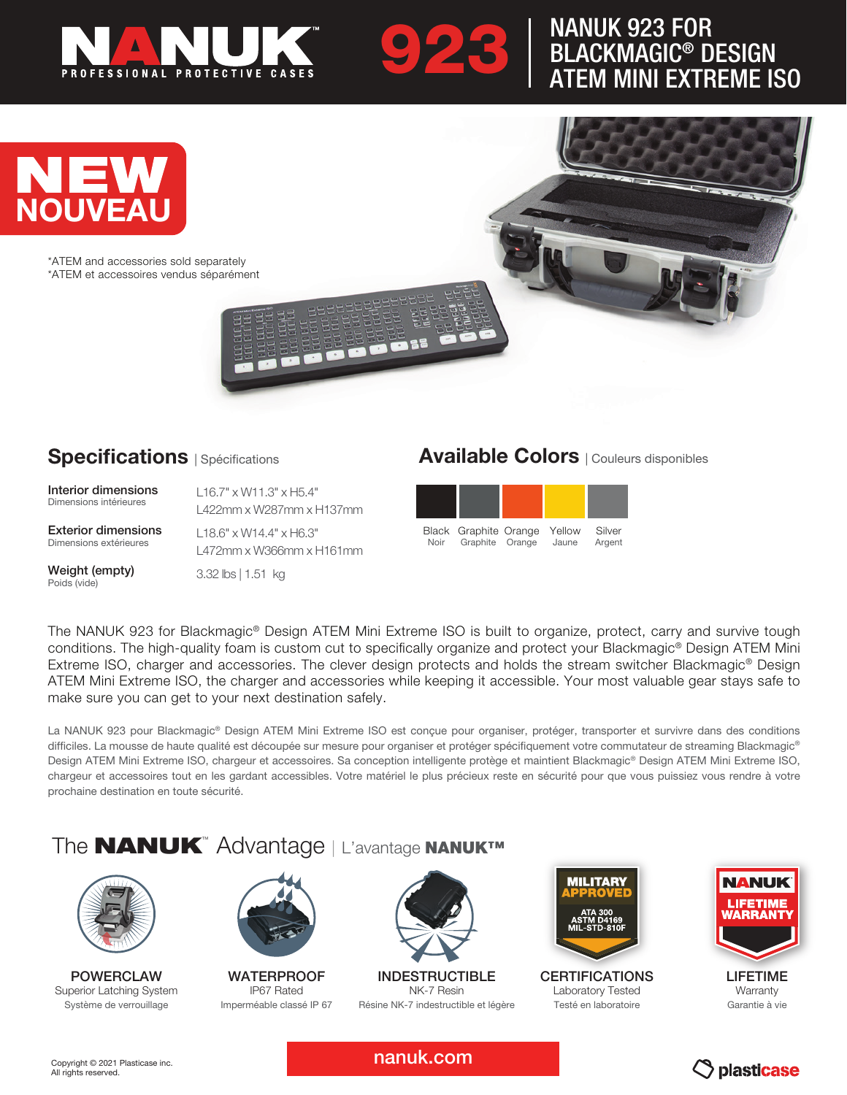

# **923 NANUK 923 FOR<br>BLACKMAGIC® D<br>ATEM MINI EXTR** BLACKMAGIC® DESIGN ATEM MINI EXTREME ISO



\*ATEM and accessories sold separately \*ATEM et accessoires vendus séparément

#### **Specifications** | Spécifications

Interior dimensions Dimensions intérieures

Exterior dimensions Dimensions extérieures

Weight (empty) Poids (vide)

L16.7" x W11.3" x H5.4" L422mm x W287mm x H137mm

L18.6" x W14.4" x H6.3" L472mm x W366mm x H161mm

3.32 lbs | 1.51 kg

### Available Colors | Couleurs disponibles

| Noir | Black Graphite Orange Yellow<br>Graphite Orange | Jaune | Silver<br>Argent |
|------|-------------------------------------------------|-------|------------------|

The NANUK 923 for Blackmagic® Design ATEM Mini Extreme ISO is built to organize, protect, carry and survive tough conditions. The high-quality foam is custom cut to specifically organize and protect your Blackmagic® Design ATEM Mini Extreme ISO, charger and accessories. The clever design protects and holds the stream switcher Blackmagic® Design ATEM Mini Extreme ISO, the charger and accessories while keeping it accessible. Your most valuable gear stays safe to make sure you can get to your next destination safely.

La NANUK 923 pour Blackmagic® Design ATEM Mini Extreme ISO est conçue pour organiser, protéger, transporter et survivre dans des conditions difficiles. La mousse de haute qualité est découpée sur mesure pour organiser et protéger spécifiquement votre commutateur de streaming Blackmagic® Design ATEM Mini Extreme ISO, chargeur et accessoires. Sa conception intelligente protège et maintient Blackmagic® Design ATEM Mini Extreme ISO, chargeur et accessoires tout en les gardant accessibles. Votre matériel le plus précieux reste en sécurité pour que vous puissiez vous rendre à votre prochaine destination en toute sécurité.

### The **NANUK**™ Advantage | L'avantage NANUK™



POWERCI AW Superior Latching System Système de verrouillage



**WATERPROOF** IP67 Rated Imperméable classé IP 67



INDESTRUCTIBLE NK-7 Resin Résine NK-7 indestructible et légère



**CERTIFICATIONS** Laboratory Tested Testé en laboratoire



LIFETIME **Warranty** Garantie à vie

nanuk.com